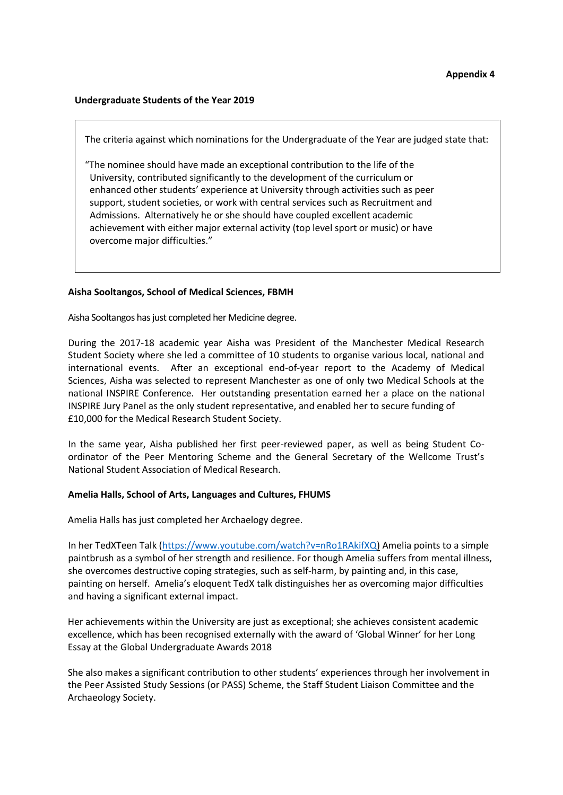## **Undergraduate Students of the Year 2019**

The criteria against which nominations for the Undergraduate of the Year are judged state that:

"The nominee should have made an exceptional contribution to the life of the University, contributed significantly to the development of the curriculum or enhanced other students' experience at University through activities such as peer support, student societies, or work with central services such as Recruitment and Admissions. Alternatively he or she should have coupled excellent academic achievement with either major external activity (top level sport or music) or have overcome major difficulties."

## **Aisha Sooltangos, School of Medical Sciences, FBMH**

Aisha Sooltangos has just completed her Medicine degree.

During the 2017-18 academic year Aisha was President of the Manchester Medical Research Student Society where she led a committee of 10 students to organise various local, national and international events. After an exceptional end-of-year report to the Academy of Medical Sciences, Aisha was selected to represent Manchester as one of only two Medical Schools at the national INSPIRE Conference. Her outstanding presentation earned her a place on the national INSPIRE Jury Panel as the only student representative, and enabled her to secure funding of £10,000 for the Medical Research Student Society.

In the same year, Aisha published her first peer-reviewed paper, as well as being Student Coordinator of the Peer Mentoring Scheme and the General Secretary of the Wellcome Trust's National Student Association of Medical Research.

## **Amelia Halls, School of Arts, Languages and Cultures, FHUMS**

Amelia Halls has just completed her Archaelogy degree.

In her TedXTeen Talk [\(https://www.youtube.com/watch?v=nRo1RAkifXQ\)](https://www.youtube.com/watch?v=nRo1RAkifXQ) Amelia points to a simple paintbrush as a symbol of her strength and resilience. For though Amelia suffers from mental illness, she overcomes destructive coping strategies, such as self-harm, by painting and, in this case, painting on herself. Amelia's eloquent TedX talk distinguishes her as overcoming major difficulties and having a significant external impact.

Her achievements within the University are just as exceptional; she achieves consistent academic excellence, which has been recognised externally with the award of 'Global Winner' for her Long Essay at the Global Undergraduate Awards 2018

She also makes a significant contribution to other students' experiences through her involvement in the Peer Assisted Study Sessions (or PASS) Scheme, the Staff Student Liaison Committee and the Archaeology Society.